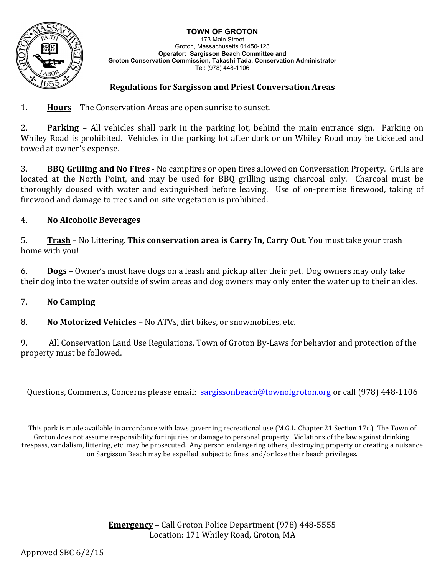#### **TOWN OF GROTON**



173 Main Street Groton, Massachusetts 01450-123 **Operator: Sargisson Beach Committee and Groton Conservation Commission, Takashi Tada, Conservation Administrator** Tel: (978) 448-1106

### **Regulations for Sargisson and Priest Conversation Areas**

1. **Hours** – The Conservation Areas are open sunrise to sunset.

2. **Parking** – All vehicles shall park in the parking lot, behind the main entrance sign. Parking on Whiley Road is prohibited. Vehicles in the parking lot after dark or on Whiley Road may be ticketed and towed at owner's expense.

**3. BBO Grilling and No Fires** - No campfires or open fires allowed on Conversation Property. Grills are located at the North Point, and may be used for BBQ grilling using charcoal only. Charcoal must be thoroughly doused with water and extinguished before leaving. Use of on-premise firewood, taking of firewood and damage to trees and on-site vegetation is prohibited.

### 4. **No Alcoholic Beverages**

5. **Trash** – No Littering. **This conservation area is Carry In, Carry Out**. You must take your trash home with you!

6. **Dogs** – Owner's must have dogs on a leash and pickup after their pet. Dog owners may only take their dog into the water outside of swim areas and dog owners may only enter the water up to their ankles.

### 7. **No Camping**

8. **No Motorized Vehicles** – No ATVs, dirt bikes, or snowmobiles, etc.

9. All Conservation Land Use Regulations, Town of Groton By-Laws for behavior and protection of the property must be followed.

Questions, Comments, Concerns please email: sargissonbeach@townofgroton.org or call (978) 448-1106

This park is made available in accordance with laws governing recreational use (M.G.L. Chapter 21 Section 17c.) The Town of Groton does not assume responsibility for injuries or damage to personal property. Violations of the law against drinking, trespass, vandalism, littering, etc. may be prosecuted. Any person endangering others, destroying property or creating a nuisance on Sargisson Beach may be expelled, subject to fines, and/or lose their beach privileges.

> **Emergency** – Call Groton Police Department (978) 448-5555 Location: 171 Whiley Road, Groton, MA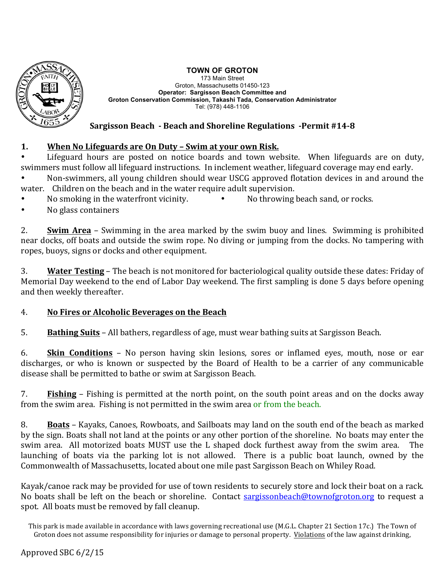

## **TOWN OF GROTON**

173 Main Street Groton, Massachusetts 01450-123 **Operator: Sargisson Beach Committee and Groton Conservation Commission, Takashi Tada, Conservation Administrator** Tel: (978) 448-1106

## **Sargisson Beach - Beach and Shoreline Regulations -Permit #14-8**

# 1. **When No Lifeguards are On Duty – Swim at your own Risk.**

Lifeguard hours are posted on notice boards and town website. When lifeguards are on duty, swimmers must follow all lifeguard instructions. In inclement weather, lifeguard coverage may end early.

Non-swimmers, all young children should wear USCG approved flotation devices in and around the water. Children on the beach and in the water require adult supervision.

- No smoking in the waterfront vicinity. • No throwing beach sand, or rocks.
- No glass containers

2. **Swim Area** – Swimming in the area marked by the swim buoy and lines. Swimming is prohibited near docks, off boats and outside the swim rope. No diving or jumping from the docks. No tampering with ropes, buoys, signs or docks and other equipment.

3. **Water Testing** – The beach is not monitored for bacteriological quality outside these dates: Friday of Memorial Day weekend to the end of Labor Day weekend. The first sampling is done 5 days before opening and then weekly thereafter.

## 4. **No Fires or Alcoholic Beverages on the Beach**

5. **Bathing Suits** – All bathers, regardless of age, must wear bathing suits at Sargisson Beach.

6. **Skin Conditions** – No person having skin lesions, sores or inflamed eyes, mouth, nose or ear discharges, or who is known or suspected by the Board of Health to be a carrier of any communicable disease shall be permitted to bathe or swim at Sargisson Beach.

7. **Fishing** – Fishing is permitted at the north point, on the south point areas and on the docks away from the swim area. Fishing is not permitted in the swim area or from the beach.

8. **Boats** – Kayaks, Canoes, Rowboats, and Sailboats may land on the south end of the beach as marked by the sign. Boats shall not land at the points or any other portion of the shoreline. No boats may enter the swim area. All motorized boats MUST use the L shaped dock furthest away from the swim area. The launching of boats via the parking lot is not allowed. There is a public boat launch, owned by the Commonwealth of Massachusetts, located about one mile past Sargisson Beach on Whiley Road.

Kayak/canoe rack may be provided for use of town residents to securely store and lock their boat on a rack. No boats shall be left on the beach or shoreline. Contact sargissonbeach@townofgroton.org to request a spot. All boats must be removed by fall cleanup.

This park is made available in accordance with laws governing recreational use (M.G.L. Chapter 21 Section 17c.) The Town of Groton does not assume responsibility for injuries or damage to personal property. Violations of the law against drinking,